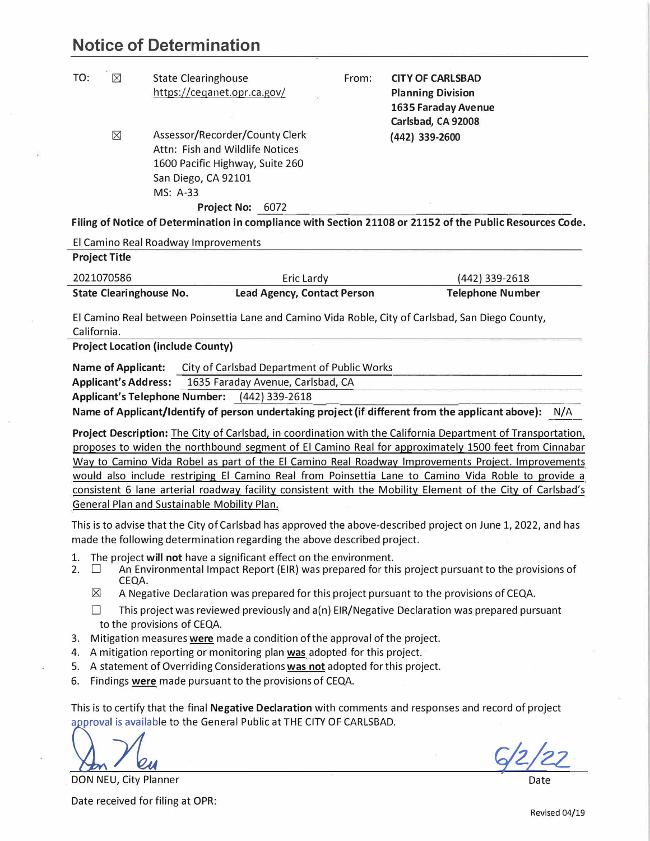## **Notice of Determination**

| $\boxtimes$<br>TO: | <b>State Clearinghouse</b>      | From: | <b>CITY OF CARLSBAD</b>                                                                                   |  |  |
|--------------------|---------------------------------|-------|-----------------------------------------------------------------------------------------------------------|--|--|
|                    | https://ceganet.opr.ca.gov/     |       | <b>Planning Division</b>                                                                                  |  |  |
|                    |                                 |       | 1635 Faraday Avenue                                                                                       |  |  |
|                    |                                 |       | Carlsbad, CA 92008                                                                                        |  |  |
| $\times$           | Assessor/Recorder/County Clerk  |       | (442) 339-2600                                                                                            |  |  |
|                    | Attn: Fish and Wildlife Notices |       |                                                                                                           |  |  |
|                    | 1600 Pacific Highway, Suite 260 |       |                                                                                                           |  |  |
|                    | San Diego, CA 92101             |       |                                                                                                           |  |  |
|                    | MS: A-33                        |       |                                                                                                           |  |  |
|                    | <b>Project No: 6072</b>         |       |                                                                                                           |  |  |
|                    |                                 |       | Filing of Notice of Determination in compliance with Section 21108 or 21152 of the Public Resources Code. |  |  |

El Camino Real Roadway Improvements **Project Title**  2021070586 **State Clearinghouse No.**  Eric Lardy **Lead Agency, Contact Person**  (442) 339-2618 **Telephone Number** 

El Camino Real between Poinsettia Lane and Camino Vida Roble, City of Carlsbad, San Diego County, California.

**Project Location (include County)** 

**Name of Applicant:** City of Carlsbad Department of Public Works

**Applicant's Address:** 1635 Faraday Avenue, Carlsbad, CA

**Applicant's Telephone Number: (442) 339-2618** 

**Name of Applicant/Identify of person undertaking project {if different from the applicant above):** N/A

**Project Description:** The City of Carlsbad, in coordination with the California Department of Transportation, proposes to widen the northbound segment of El Camino Real for approximately 1500 feet from Cinnabar Way to Camino Vida Robel as part of the El Camino Real Roadway Improvements Project. Improvements would also include restriping El Camino Real from Poinsettia Lane to Camino Vida Roble to provide a consistent 6 lane arterial roadway facility consistent with the Mobility Element of the City of Carlsbad's General Plan and Sustainable Mobility Plan.

This is to advise that the City of Carlsbad has approved the above-described project on June 1, 2022, and has made the following determination regarding the above described project.

- 1. The project **will not** have a significant effect on the environment.<br>2.  $\Box$  An Environmental Impact Report (EIR) was prepared for thi
- An Environmental Impact Report (EIR) was prepared for this project pursuant to the provisions of CEQA.
	- $\boxtimes$  A Negative Declaration was prepared for this project pursuant to the provisions of CEQA.
	- $\Box$  This project was reviewed previously and a(n) EIR/Negative Declaration was prepared pursuant to the provisions of CEQA.
- 3. Mitigation measures **were** made a condition of the approval of the project.
- 4. A mitigation reporting or monitoring plan **was** adopted for this project.
- 5. A statement of Overriding Considerations **was not** adopted for this project.
- 6. Findings **were** made pursuant to the provisions of CEQA.

This is to certify that the final **Negative Declaration** with comments and responses and record of project approval is available to the General Public at THE CITY OF CARLSBAD.

**[**

6/2/2 *2.Z.*

Date

DON NEU, City Planner

Date received for filing at OPR: